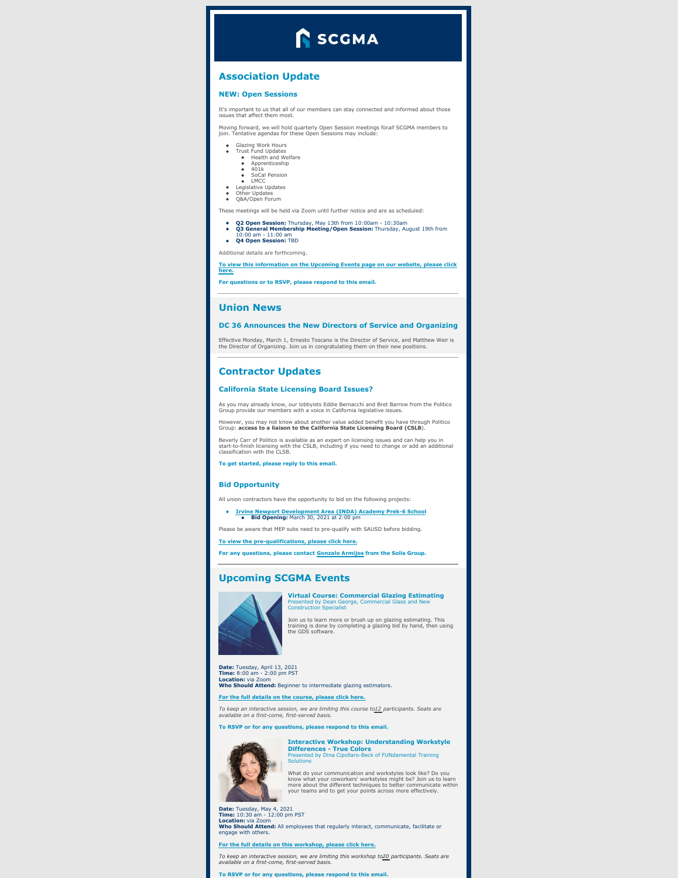# **SCGMA**

# **Association Update**

#### **NEW: Open Sessions**

It's important to us that all of our members can stay connected and informed about those issues that affect them most.

Moving forward, we will hold quarterly Open Session meetings for*all* SCGMA members to join. Tentative agendas for these Open Sessions may include:

- Glazing Work Hours<br>Trust Fund Undates
	- Trust Fund Updates<br>
	 Health and Welfare<br>
	 401k<br>
	 401k<br>
	 LMCC<br>
	Legislative Updates<br>
	Legislative Updates<br>
	Q&A/Open Forum
	-
	-
- 
- 

These meetings will be held via Zoom until further notice and are as scheduled:

- 
- **Q2 Open Session: T**hursday, May 13th from 10:00am 10:30am<br>**Q3 General Membership Meeting/Open Session:** Thursday, August 19th from<br>104 Open Session: TBD<br>Q4 Open Session: TBD

Additional details are forthcoming.

**To view this [information](https://www.scgma.com/upcoming-events/) on the Upcoming Events page on our website, please click here.**

**For questions or to RSVP, please respond to this email.**

### **Union News**

#### **DC 36 Announces the New Directors of Service and Organizing**

Effective Monday, March 1, Ernesto Toscano is the Director of Service, and Matthew Weir is the Director of Organizing. Join us in congratulating them on their new positions.

#### **Contractor Updates**

#### **California State Licensing Board Issues?**

As you may already know, our lobbyists Eddie Bernacchi and Bret Barrow from the Politico Group provide our members with a voice in California legislative issues.

However, you may not know about another value added benefit you have through Politico<br>Group: **access to a liaison to the California State Licensing Board (CSLB**).

Beverly Carr of Politico is available as an expert on licensing issues and can help you in start-to-finish licensing with the CSLB, including if you need to change or add an additional classification with the CLSB.

**To get started, please reply to this email.**

#### **Bid Opportunity**

All union contractors have the opportunity to bid on the following projects:

## **Irvine Newport [Development](https://www.sausd.us/cms/lib/CA01000471/Centricity/Domain/116/Invitation to Bid INDA.pdf) Area (INDA) Academy Prek-6 School Bid Opening:** March 30, 2021 at 2:00 pm

Please be aware that MEP subs need to pre-qualify with SAUSD before bidding.

**To view the [pre-qualifications,](http://www.pqbids.com/SAUSD) please click here.**

**For any questions, please contact [Gonzalo](mailto:garmijos@thesolisgroup.com) Armijos from the Solis Group.**

## **Upcoming SCGMA Events**



**Virtual Course: Commercial Glazing Estimating** Presented by Dean George, Commercial Glass and New Construction Specialist

Join us to learn more or brush up on glazing estimating. This training is done by completing a glazing bid by hand, then using the GDS software.

# **Date:** Tuesday, April 13, 2021 **Time:** 8:00 am - 2:00 pm PST **Location:** via Zoom **Who Should Attend:** Beginner to intermediate glazing estimators.

# **For the full details on the [course,](https://www.scgma.com/upcoming-event-commercial-glazing-estimating/) please click here.**

To keep an interactive session, we are limiting this course to<u>12 p</u>articipants. Seats are<br>available on a first-come, first-served basis.

**To RSVP or for any questions, please respond to this email.**



**Interactive Workshop: Understanding Workstyle Differences - True Colors** Presented by Dina Cipollaro-Beck of FUNdamental Training Solutions

What do your communication and workstyles look like? Do you<br>know what your coworkers' workstyles might be? Join us to learn<br>more about the different techniques to better communicate within<br>your teams and to get your points

**Date:** Tuesday, May 4, 2021 **Time:** 10:30 am - 12:00 pm PST **Location:** via Zoom **Who Should Attend:** All employees that regularly interact, communicate, facilitate or ensure.<br>naane with of

**For the full details on this [workshop,](https://www.scgma.com/upcoming-event-true-colors/) please click here.**

To keep an interactive session, we are limiting this workshop to<u>20</u> participants. Seats are<br>available on a first-come, first-served basis.

**To RSVP or for any questions, please respond to this email.**